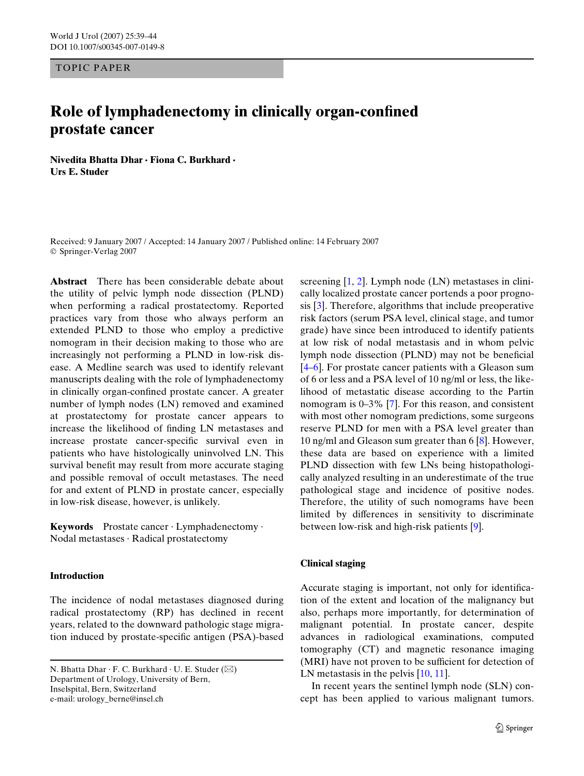TOPIC PAPER

# **Role of lymphadenectomy in clinically organ-confined prostate cancer**

**Nivedita Bhatta Dhar · Fiona C. Burkhard · Urs E. Studer** 

Received: 9 January 2007 / Accepted: 14 January 2007 / Published online: 14 February 2007 © Springer-Verlag 2007

**Abstract** There has been considerable debate about the utility of pelvic lymph node dissection (PLND) when performing a radical prostatectomy. Reported practices vary from those who always perform an extended PLND to those who employ a predictive nomogram in their decision making to those who are increasingly not performing a PLND in low-risk disease. A Medline search was used to identify relevant manuscripts dealing with the role of lymphadenectomy in clinically organ-confined prostate cancer. A greater number of lymph nodes (LN) removed and examined at prostatectomy for prostate cancer appears to increase the likelihood of finding LN metastases and increase prostate cancer-specific survival even in patients who have histologically uninvolved LN. This survival benefit may result from more accurate staging and possible removal of occult metastases. The need for and extent of PLND in prostate cancer, especially in low-risk disease, however, is unlikely.

**Keywords** Prostate cancer · Lymphadenectomy · Nodal metastases · Radical prostatectomy

## **Introduction**

The incidence of nodal metastases diagnosed during radical prostatectomy (RP) has declined in recent years, related to the downward pathologic stage migration induced by prostate-specific antigen (PSA)-based screening  $[1, 2]$  $[1, 2]$  $[1, 2]$  $[1, 2]$  $[1, 2]$ . Lymph node  $(LN)$  metastases in clinically localized prostate cancer portends a poor prognosis [[3\]](#page-4-2). Therefore, algorithms that include preoperative risk factors (serum PSA level, clinical stage, and tumor grade) have since been introduced to identify patients at low risk of nodal metastasis and in whom pelvic lymph node dissection (PLND) may not be beneficial [[4–](#page-4-3)[6\]](#page-4-4). For prostate cancer patients with a Gleason sum of 6 or less and a PSA level of 10 ng/ml or less, the likelihood of metastatic disease according to the Partin nomogram is 0–3% [\[7](#page-4-5)]. For this reason, and consistent with most other nomogram predictions, some surgeons reserve PLND for men with a PSA level greater than 10 ng/ml and Gleason sum greater than 6 [[8\]](#page-4-6). However, these data are based on experience with a limited PLND dissection with few LNs being histopathologically analyzed resulting in an underestimate of the true pathological stage and incidence of positive nodes. Therefore, the utility of such nomograms have been limited by differences in sensitivity to discriminate between low-risk and high-risk patients [[9\]](#page-4-7).

### **Clinical staging**

Accurate staging is important, not only for identification of the extent and location of the malignancy but also, perhaps more importantly, for determination of malignant potential. In prostate cancer, despite advances in radiological examinations, computed tomography (CT) and magnetic resonance imaging (MRI) have not proven to be sufficient for detection of LN metastasis in the pelvis [\[10](#page-4-8), [11](#page-4-9)].

In recent years the sentinel lymph node (SLN) concept has been applied to various malignant tumors.

N. Bhatta Dhar  $\cdot$  F. C. Burkhard  $\cdot$  U. E. Studer ( $\boxtimes$ ) Department of Urology, University of Bern, Inselspital, Bern, Switzerland e-mail: urology\_berne@insel.ch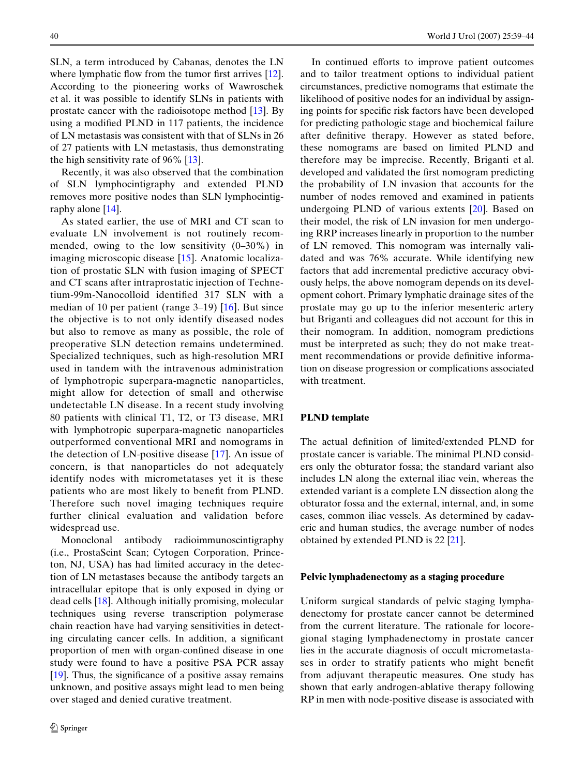SLN, a term introduced by Cabanas, denotes the LN where lymphatic flow from the tumor first arrives  $[12]$  $[12]$ . According to the pioneering works of Wawroschek et al. it was possible to identify SLNs in patients with prostate cancer with the radioisotope method [[13\]](#page-4-11). By using a modified PLND in 117 patients, the incidence of LN metastasis was consistent with that of SLNs in 26 of 27 patients with LN metastasis, thus demonstrating the high sensitivity rate of 96%  $[13]$  $[13]$ .

Recently, it was also observed that the combination of SLN lymphocintigraphy and extended PLND removes more positive nodes than SLN lymphocintigraphy alone [\[14](#page-4-12)].

As stated earlier, the use of MRI and CT scan to evaluate LN involvement is not routinely recommended, owing to the low sensitivity (0–30%) in imaging microscopic disease [[15\]](#page-4-13). Anatomic localization of prostatic SLN with fusion imaging of SPECT and CT scans after intraprostatic injection of Technetium-99m-Nanocolloid identified 317 SLN with a median of 10 per patient (range 3–19) [[16](#page-4-14)]. But since the objective is to not only identify diseased nodes but also to remove as many as possible, the role of preoperative SLN detection remains undetermined. Specialized techniques, such as high-resolution MRI used in tandem with the intravenous administration of lymphotropic superpara-magnetic nanoparticles, might allow for detection of small and otherwise undetectable LN disease. In a recent study involving 80 patients with clinical T1, T2, or T3 disease, MRI with lymphotropic superpara-magnetic nanoparticles outperformed conventional MRI and nomograms in the detection of LN-positive disease [\[17\]](#page-4-15). An issue of concern, is that nanoparticles do not adequately identify nodes with micrometatases yet it is these patients who are most likely to benefit from PLND. Therefore such novel imaging techniques require further clinical evaluation and validation before widespread use.

Monoclonal antibody radioimmunoscintigraphy (i.e., ProstaScint Scan; Cytogen Corporation, Princeton, NJ, USA) has had limited accuracy in the detection of LN metastases because the antibody targets an intracellular epitope that is only exposed in dying or dead cells [\[18\]](#page-4-16). Although initially promising, molecular techniques using reverse transcription polymerase chain reaction have had varying sensitivities in detecting circulating cancer cells. In addition, a significant proportion of men with organ-confined disease in one study were found to have a positive PSA PCR assay  $[19]$  $[19]$ . Thus, the significance of a positive assay remains unknown, and positive assays might lead to men being over staged and denied curative treatment.

In continued efforts to improve patient outcomes and to tailor treatment options to individual patient circumstances, predictive nomograms that estimate the likelihood of positive nodes for an individual by assigning points for specific risk factors have been developed for predicting pathologic stage and biochemical failure after definitive therapy. However as stated before, these nomograms are based on limited PLND and therefore may be imprecise. Recently, Briganti et al. developed and validated the first nomogram predicting the probability of LN invasion that accounts for the number of nodes removed and examined in patients undergoing PLND of various extents [[20\]](#page-4-18). Based on their model, the risk of LN invasion for men undergoing RRP increases linearly in proportion to the number of LN removed. This nomogram was internally validated and was 76% accurate. While identifying new factors that add incremental predictive accuracy obviously helps, the above nomogram depends on its development cohort. Primary lymphatic drainage sites of the prostate may go up to the inferior mesenteric artery but Briganti and colleagues did not account for this in their nomogram. In addition, nomogram predictions must be interpreted as such; they do not make treatment recommendations or provide definitive information on disease progression or complications associated with treatment.

### **PLND template**

The actual definition of limited/extended PLND for prostate cancer is variable. The minimal PLND considers only the obturator fossa; the standard variant also includes LN along the external iliac vein, whereas the extended variant is a complete LN dissection along the obturator fossa and the external, internal, and, in some cases, common iliac vessels. As determined by cadaveric and human studies, the average number of nodes obtained by extended PLND is 22 [\[21\]](#page-4-19).

#### **Pelvic lymphadenectomy as a staging procedure**

Uniform surgical standards of pelvic staging lymphadenectomy for prostate cancer cannot be determined from the current literature. The rationale for locoregional staging lymphadenectomy in prostate cancer lies in the accurate diagnosis of occult micrometastases in order to stratify patients who might benefit from adjuvant therapeutic measures. One study has shown that early androgen-ablative therapy following RP in men with node-positive disease is associated with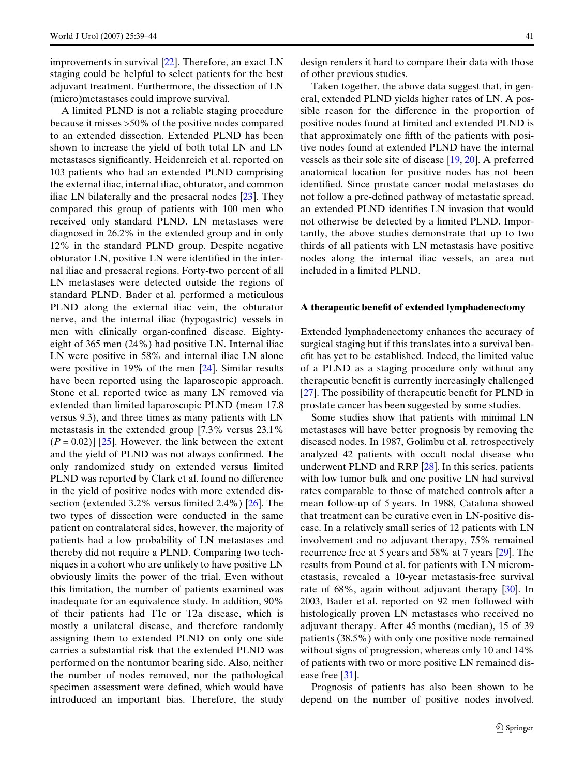improvements in survival [[22\]](#page-4-20). Therefore, an exact LN staging could be helpful to select patients for the best adjuvant treatment. Furthermore, the dissection of LN (micro)metastases could improve survival.

A limited PLND is not a reliable staging procedure because it misses >50% of the positive nodes compared to an extended dissection. Extended PLND has been shown to increase the yield of both total LN and LN metastases significantly. Heidenreich et al. reported on 103 patients who had an extended PLND comprising the external iliac, internal iliac, obturator, and common iliac LN bilaterally and the presacral nodes [[23\]](#page-4-21). They compared this group of patients with 100 men who received only standard PLND. LN metastases were diagnosed in 26.2% in the extended group and in only 12% in the standard PLND group. Despite negative obturator LN, positive LN were identified in the internal iliac and presacral regions. Forty-two percent of all LN metastases were detected outside the regions of standard PLND. Bader et al. performed a meticulous PLND along the external iliac vein, the obturator nerve, and the internal iliac (hypogastric) vessels in men with clinically organ-confined disease. Eightyeight of 365 men (24%) had positive LN. Internal iliac LN were positive in 58% and internal iliac LN alone were positive in 19% of the men [\[24](#page-4-22)]. Similar results have been reported using the laparoscopic approach. Stone et al. reported twice as many LN removed via extended than limited laparoscopic PLND (mean 17.8 versus 9.3), and three times as many patients with LN metastasis in the extended group [7.3% versus 23.1%  $(P = 0.02)$ ] [[25\]](#page-4-23). However, the link between the extent and the yield of PLND was not always confirmed. The only randomized study on extended versus limited PLND was reported by Clark et al. found no difference in the yield of positive nodes with more extended dissection (extended 3.2% versus limited 2.4%) [\[26](#page-4-24)]. The two types of dissection were conducted in the same patient on contralateral sides, however, the majority of patients had a low probability of LN metastases and thereby did not require a PLND. Comparing two techniques in a cohort who are unlikely to have positive LN obviously limits the power of the trial. Even without this limitation, the number of patients examined was inadequate for an equivalence study. In addition, 90% of their patients had T1c or T2a disease, which is mostly a unilateral disease, and therefore randomly assigning them to extended PLND on only one side carries a substantial risk that the extended PLND was performed on the nontumor bearing side. Also, neither the number of nodes removed, nor the pathological specimen assessment were defined, which would have introduced an important bias. Therefore, the study design renders it hard to compare their data with those of other previous studies.

Taken together, the above data suggest that, in general, extended PLND yields higher rates of LN. A possible reason for the difference in the proportion of positive nodes found at limited and extended PLND is that approximately one fifth of the patients with positive nodes found at extended PLND have the internal vessels as their sole site of disease [[19,](#page-4-17) [20\]](#page-4-18). A preferred anatomical location for positive nodes has not been identified. Since prostate cancer nodal metastases do not follow a pre-defined pathway of metastatic spread, an extended PLND identifies LN invasion that would not otherwise be detected by a limited PLND. Importantly, the above studies demonstrate that up to two thirds of all patients with LN metastasis have positive nodes along the internal iliac vessels, an area not included in a limited PLND.

#### A therapeutic benefit of extended lymphadenectomy

Extended lymphadenectomy enhances the accuracy of surgical staging but if this translates into a survival benefit has yet to be established. Indeed, the limited value of a PLND as a staging procedure only without any therapeutic benefit is currently increasingly challenged [[27\]](#page-4-25). The possibility of the rapeutic benefit for PLND in prostate cancer has been suggested by some studies.

Some studies show that patients with minimal LN metastases will have better prognosis by removing the diseased nodes. In 1987, Golimbu et al. retrospectively analyzed 42 patients with occult nodal disease who underwent PLND and RRP [\[28](#page-4-26)]. In this series, patients with low tumor bulk and one positive LN had survival rates comparable to those of matched controls after a mean follow-up of 5 years. In 1988, Catalona showed that treatment can be curative even in LN-positive disease. In a relatively small series of 12 patients with LN involvement and no adjuvant therapy, 75% remained recurrence free at 5 years and 58% at 7 years [[29\]](#page-4-27). The results from Pound et al. for patients with LN micrometastasis, revealed a 10-year metastasis-free survival rate of 68%, again without adjuvant therapy [[30\]](#page-4-28). In 2003, Bader et al. reported on 92 men followed with histologically proven LN metastases who received no adjuvant therapy. After 45 months (median), 15 of 39 patients (38.5%) with only one positive node remained without signs of progression, whereas only 10 and 14% of patients with two or more positive LN remained dis-ease free [[31\]](#page-5-0).

Prognosis of patients has also been shown to be depend on the number of positive nodes involved.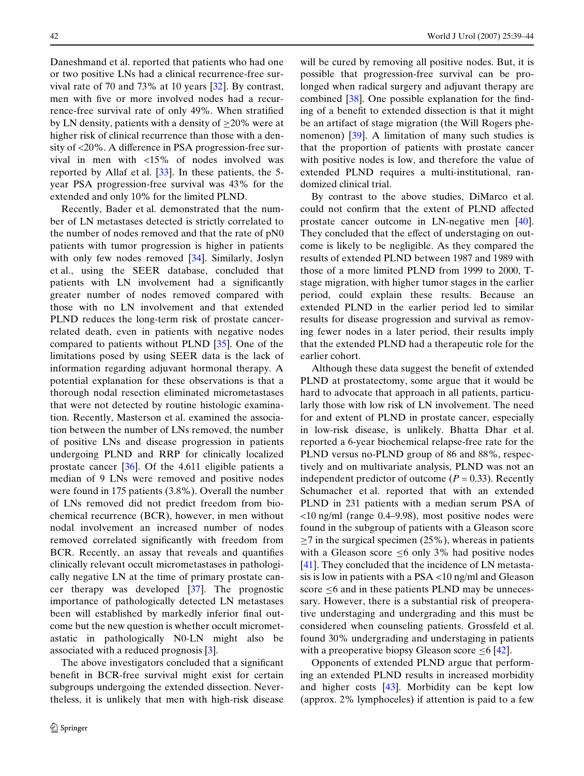Daneshmand et al. reported that patients who had one or two positive LNs had a clinical recurrence-free survival rate of 70 and 73% at 10 years [\[32](#page-5-1)]. By contrast, men with five or more involved nodes had a recurrence-free survival rate of only 49%. When stratified by LN density, patients with a density of  $\geq$ 20% were at higher risk of clinical recurrence than those with a density of  $\langle 20\% \rangle$ . A difference in PSA progression-free survival in men with <15% of nodes involved was reported by Allaf et al. [\[33](#page-5-2)]. In these patients, the 5 year PSA progression-free survival was 43% for the extended and only 10% for the limited PLND.

Recently, Bader et al. demonstrated that the number of LN metastases detected is strictly correlated to the number of nodes removed and that the rate of pN0 patients with tumor progression is higher in patients with only few nodes removed [\[34](#page-5-3)]. Similarly, Joslyn et al., using the SEER database, concluded that patients with LN involvement had a significantly greater number of nodes removed compared with those with no LN involvement and that extended PLND reduces the long-term risk of prostate cancerrelated death, even in patients with negative nodes compared to patients without PLND [\[35\]](#page-5-4). One of the limitations posed by using SEER data is the lack of information regarding adjuvant hormonal therapy. A potential explanation for these observations is that a thorough nodal resection eliminated micrometastases that were not detected by routine histologic examination. Recently, Masterson et al. examined the association between the number of LNs removed, the number of positive LNs and disease progression in patients undergoing PLND and RRP for clinically localized prostate cancer [\[36](#page-5-5)]. Of the 4,611 eligible patients a median of 9 LNs were removed and positive nodes were found in 175 patients (3.8%). Overall the number of LNs removed did not predict freedom from biochemical recurrence (BCR), however, in men without nodal involvement an increased number of nodes removed correlated significantly with freedom from BCR. Recently, an assay that reveals and quantifies clinically relevant occult micrometastases in pathologically negative LN at the time of primary prostate cancer therapy was developed [[37](#page-5-6)]. The prognostic importance of pathologically detected LN metastases been will established by markedly inferior final outcome but the new question is whether occult micrometastatic in pathologically N0-LN might also be associated with a reduced prognosis [[3\]](#page-4-2).

The above investigators concluded that a significant benefit in BCR-free survival might exist for certain subgroups undergoing the extended dissection. Nevertheless, it is unlikely that men with high-risk disease

will be cured by removing all positive nodes. But, it is possible that progression-free survival can be prolonged when radical surgery and adjuvant therapy are combined  $[38]$  $[38]$ . One possible explanation for the finding of a benefit to extended dissection is that it might be an artifact of stage migration (the Will Rogers phenomenon) [[39\]](#page-5-8). A limitation of many such studies is that the proportion of patients with prostate cancer with positive nodes is low, and therefore the value of extended PLND requires a multi-institutional, randomized clinical trial.

By contrast to the above studies, DiMarco et al. could not confirm that the extent of PLND affected prostate cancer outcome in LN-negative men [\[40\]](#page-5-9). They concluded that the effect of understaging on outcome is likely to be negligible. As they compared the results of extended PLND between 1987 and 1989 with those of a more limited PLND from 1999 to 2000, Tstage migration, with higher tumor stages in the earlier period, could explain these results. Because an extended PLND in the earlier period led to similar results for disease progression and survival as removing fewer nodes in a later period, their results imply that the extended PLND had a therapeutic role for the earlier cohort.

Although these data suggest the benefit of extended PLND at prostatectomy, some argue that it would be hard to advocate that approach in all patients, particularly those with low risk of LN involvement. The need for and extent of PLND in prostate cancer, especially in low-risk disease, is unlikely. Bhatta Dhar et al. reported a 6-year biochemical relapse-free rate for the PLND versus no-PLND group of 86 and 88%, respectively and on multivariate analysis, PLND was not an independent predictor of outcome  $(P = 0.33)$ . Recently Schumacher et al. reported that with an extended PLND in 231 patients with a median serum PSA of <10 ng/ml (range 0.4–9.98), most positive nodes were found in the subgroup of patients with a Gleason score  $\geq$ 7 in the surgical specimen (25%), whereas in patients with a Gleason score  $\leq 6$  only 3% had positive nodes [[41\]](#page-5-10). They concluded that the incidence of LN metastasis is low in patients with a PSA <10 ng/ml and Gleason score  $\leq 6$  and in these patients PLND may be unnecessary. However, there is a substantial risk of preoperative understaging and undergrading and this must be considered when counseling patients. Grossfeld et al. found 30% undergrading and understaging in patients with a preoperative biopsy Gleason score  $\leq 6$  [\[42](#page-5-11)].

Opponents of extended PLND argue that performing an extended PLND results in increased morbidity and higher costs [\[43](#page-5-12)]. Morbidity can be kept low (approx. 2% lymphoceles) if attention is paid to a few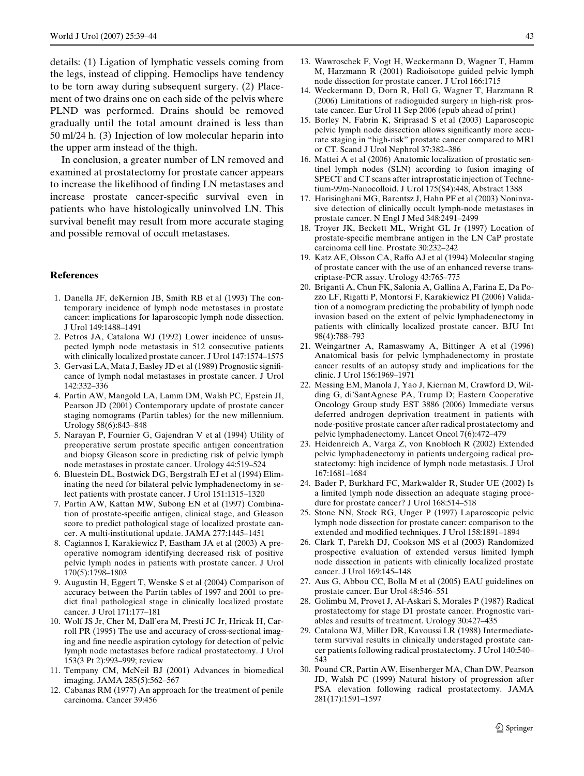details: (1) Ligation of lymphatic vessels coming from the legs, instead of clipping. Hemoclips have tendency to be torn away during subsequent surgery. (2) Placement of two drains one on each side of the pelvis where PLND was performed. Drains should be removed gradually until the total amount drained is less than 50 ml/24 h. (3) Injection of low molecular heparin into the upper arm instead of the thigh.

In conclusion, a greater number of LN removed and examined at prostatectomy for prostate cancer appears to increase the likelihood of finding LN metastases and increase prostate cancer-specific survival even in patients who have histologically uninvolved LN. This survival benefit may result from more accurate staging and possible removal of occult metastases.

#### **References**

- <span id="page-4-0"></span>1. Danella JF, deKernion JB, Smith RB et al (1993) The contemporary incidence of lymph node metastases in prostate cancer: implications for laparoscopic lymph node dissection. J Urol 149:1488–1491
- <span id="page-4-1"></span>2. Petros JA, Catalona WJ (1992) Lower incidence of unsuspected lymph node metastasis in 512 consecutive patients with clinically localized prostate cancer. J Urol 147:1574–1575
- <span id="page-4-2"></span>3. Gervasi LA, Mata J, Easley JD et al (1989) Prognostic significance of lymph nodal metastases in prostate cancer. J Urol 142:332–336
- <span id="page-4-3"></span>4. Partin AW, Mangold LA, Lamm DM, Walsh PC, Epstein JI, Pearson JD (2001) Contemporary update of prostate cancer staging nomograms (Partin tables) for the new millennium. Urology 58(6):843–848
- 5. Narayan P, Fournier G, Gajendran V et al (1994) Utility of preoperative serum prostate specific antigen concentration and biopsy Gleason score in predicting risk of pelvic lymph node metastases in prostate cancer. Urology 44:519–524
- <span id="page-4-4"></span>6. Bluestein DL, Bostwick DG, Bergstralh EJ et al (1994) Eliminating the need for bilateral pelvic lymphadenectomy in select patients with prostate cancer. J Urol 151:1315–1320
- <span id="page-4-5"></span>7. Partin AW, Kattan MW, Subong EN et al (1997) Combination of prostate-specific antigen, clinical stage, and Gleason score to predict pathological stage of localized prostate cancer. A multi-institutional update. JAMA 277:1445–1451
- <span id="page-4-6"></span>8. Cagiannos I, Karakiewicz P, Eastham JA et al (2003) A preoperative nomogram identifying decreased risk of positive pelvic lymph nodes in patients with prostate cancer. J Urol 170(5):1798–1803
- <span id="page-4-7"></span>9. Augustin H, Eggert T, Wenske S et al (2004) Comparison of accuracy between the Partin tables of 1997 and 2001 to predict final pathological stage in clinically localized prostate cancer. J Urol 171:177–181
- <span id="page-4-8"></span>10. Wolf JS Jr, Cher M, Dall'era M, Presti JC Jr, Hricak H, Carroll PR (1995) The use and accuracy of cross-sectional imaging and fine needle aspiration cytology for detection of pelvic lymph node metastases before radical prostatectomy. J Urol 153(3 Pt 2):993–999; review
- <span id="page-4-9"></span>11. Tempany CM, McNeil BJ (2001) Advances in biomedical imaging. JAMA 285(5):562–567
- <span id="page-4-10"></span>12. Cabanas RM (1977) An approach for the treatment of penile carcinoma. Cancer 39:456
- <span id="page-4-11"></span>13. Wawroschek F, Vogt H, Weckermann D, Wagner T, Hamm M, Harzmann R (2001) Radioisotope guided pelvic lymph node dissection for prostate cancer. J Urol 166:1715
- <span id="page-4-12"></span>14. Weckermann D, Dorn R, Holl G, Wagner T, Harzmann R (2006) Limitations of radioguided surgery in high-risk prostate cancer. Eur Urol 11 Sep 2006 (epub ahead of print)
- <span id="page-4-13"></span>15. Borley N, Fabrin K, Sriprasad S et al (2003) Laparoscopic pelvic lymph node dissection allows significantly more accurate staging in "high-risk" prostate cancer compared to MRI or CT. Scand J Urol Nephrol 37:382–386
- <span id="page-4-14"></span>16. Mattei A et al (2006) Anatomic localization of prostatic sentinel lymph nodes (SLN) according to fusion imaging of SPECT and CT scans after intraprostatic injection of Technetium-99m-Nanocolloid. J Urol 175(S4):448, Abstract 1388
- <span id="page-4-15"></span>17. Harisinghani MG, Barentsz J, Hahn PF et al (2003) Noninvasive detection of clinically occult lymph-node metastases in prostate cancer. N Engl J Med 348:2491–2499
- <span id="page-4-16"></span>18. Troyer JK, Beckett ML, Wright GL Jr (1997) Location of prostate-specific membrane antigen in the LN CaP prostate carcinoma cell line. Prostate 30:232–242
- <span id="page-4-17"></span>19. Katz AE, Olsson CA, Raffo AJ et al (1994) Molecular staging of prostate cancer with the use of an enhanced reverse transcriptase-PCR assay. Urology 43:765–775
- <span id="page-4-18"></span>20. Briganti A, Chun FK, Salonia A, Gallina A, Farina E, Da Pozzo LF, Rigatti P, Montorsi F, Karakiewicz PI (2006) Validation of a nomogram predicting the probability of lymph node invasion based on the extent of pelvic lymphadenectomy in patients with clinically localized prostate cancer. BJU Int 98(4):788–793
- <span id="page-4-19"></span>21. Weingartner A, Ramaswamy A, Bittinger A et al (1996) Anatomical basis for pelvic lymphadenectomy in prostate cancer results of an autopsy study and implications for the clinic. J Urol 156:1969–1971
- <span id="page-4-20"></span>22. Messing EM, Manola J, Yao J, Kiernan M, Crawford D, Wilding G, di'SantAgnese PA, Trump D; Eastern Cooperative Oncology Group study EST 3886 (2006) Immediate versus deferred androgen deprivation treatment in patients with node-positive prostate cancer after radical prostatectomy and pelvic lymphadenectomy. Lancet Oncol 7(6):472–479
- <span id="page-4-21"></span>23. Heidenreich A, Varga Z, von Knobloch R (2002) Extended pelvic lymphadenectomy in patients undergoing radical prostatectomy: high incidence of lymph node metastasis. J Urol 167:1681–1684
- <span id="page-4-22"></span>24. Bader P, Burkhard FC, Markwalder R, Studer UE (2002) Is a limited lymph node dissection an adequate staging procedure for prostate cancer? J Urol 168:514–518
- <span id="page-4-23"></span>25. Stone NN, Stock RG, Unger P (1997) Laparoscopic pelvic lymph node dissection for prostate cancer: comparison to the extended and modified techniques. J Urol 158:1891-1894
- <span id="page-4-24"></span>26. Clark T, Parekh DJ, Cookson MS et al (2003) Randomized prospective evaluation of extended versus limited lymph node dissection in patients with clinically localized prostate cancer. J Urol 169:145–148
- <span id="page-4-25"></span>27. Aus G, Abbou CC, Bolla M et al (2005) EAU guidelines on prostate cancer. Eur Urol 48:546–551
- <span id="page-4-26"></span>28. Golimbu M, Provet J, Al-Askari S, Morales P (1987) Radical prostatectomy for stage D1 prostate cancer. Prognostic variables and results of treatment. Urology 30:427–435
- <span id="page-4-27"></span>29. Catalona WJ, Miller DR, Kavoussi LR (1988) Intermediateterm survival results in clinically understaged prostate cancer patients following radical prostatectomy. J Urol 140:540– 543
- <span id="page-4-28"></span>30. Pound CR, Partin AW, Eisenberger MA, Chan DW, Pearson JD, Walsh PC (1999) Natural history of progression after PSA elevation following radical prostatectomy. JAMA 281(17):1591–1597